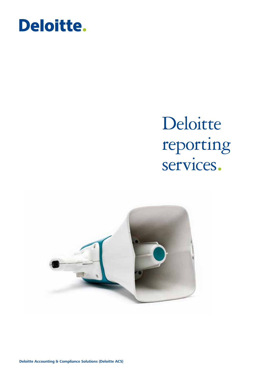

# Deloitte reporting services.

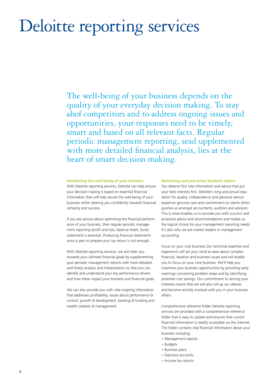## Deloitte reporting services

The well-being of your business depends on the quality of your everyday decision making. To stay ahof competitors and to address ongoing issues and opportunities, your responses need to be timely, smart and based on all relevant facts. Regular periodic management reporting, sead upplemented with more detailed financial analysis, lies at the heart of smart decision making.

#### **Monitoring the well-being of your business**

With Deloitte reporting services, Deloitte can help ensure your decision making is based on essential financial information that will help secure the well-being of your business whilst steering you confidently towards financial certainty and success.

If you are serious about optimising the financial performance of your business, then regular periodic management reporting (profit and loss, balance sheet, funds statement) is essential. Producing financial statements once a year to prepare your tax return is not enough.

With Deloitte reporting services, we will steer you towards your ultimate financial goals by supplementing your periodic management reports with more detailed and timely analysis and interpretation so that you can identify and understand your key performance drivers and how these impact your business and financial goals.

We can also provide you with vital ongoing information that addresses profitability, issues about performance & control, growth & development, banking & funding and wealth creation & management.

#### **Mentoring and pro-active business advice**

You deserve first rate information and advice that put your best interests first. Deloitte's long and proud reputation for quality, independence and personal service based on genuine care and commitment to clients distinguishes us amongst accountants, auditors and advisors. This is what enables us to provide you with succinct and proactive advice and recommendations and makes us the logical choice for your management reporting needs. It's also why we are market leaders in management accounting.

Focus on your core business Our technical expertise and experience will set your mind at ease about complex financial, taxation and business issues and will enable you to focus on your core business. We'll help you maximise your business opportunities by providing early warnings concerning problem areas and by identifying potential cost savings. Our commitment to serving your interests means that we will also roll-up our sleeves and become actively involved with you in your business affairs.

Comprehensive reference folder Deloitte reporting services are provided with a comprehensive reference folder that is easy to update and ensures that current financial information is readily accessible via the internet. The folder contains vital financial information about your business including:

- Management reports
- Budgets
- Business plans
- Statutory accounts
- Income tax returns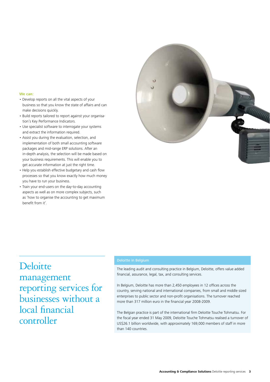#### **We can:**

- Develop reports on all the vital aspects of your business so that you know the state of affairs and can make decisions quickly.
- Build reports tailored to report against your organisation's Key Performance Indicators.
- Use specialist software to interrogate your systems and extract the information required.
- Assist you during the evaluation, selection, and implementation of both small accounting software packages and mid-range ERP solutions. After an in-depth analysis, the selection will be made based on your business requirements. This will enable you to get accurate information at just the right time.
- Help you establish effective budgetary and cash flow processes so that you know exactly how much money you have to run your business.
- Train your end-users on the day-to-day accounting aspects as well as on more complex subjects, such as 'how to organise the accounting to get maximum benefit from it'.



### **Deloitte** management reporting services for businesses without a local financial controller

#### Deloitte in Belgium

The leading audit and consulting practice in Belgium, Deloitte, offers value added financial, assurance, legal, tax, and consulting services.

In Belgium, Deloitte has more than 2,450 employees in 12 offices across the country, serving national and international companies, from small and middle sized enterprises to public sector and non-profit organisations. The turnover reached more than 317 million euro in the financial year 2008-2009.

The Belgian practice is part of the international firm Deloitte Touche Tohmatsu. For the fiscal year ended 31 May 2009, Deloitte Touche Tohmatsu realised a turnover of US\$26.1 billion worldwide, with approximately 169,000 members of staff in more than 140 countries.